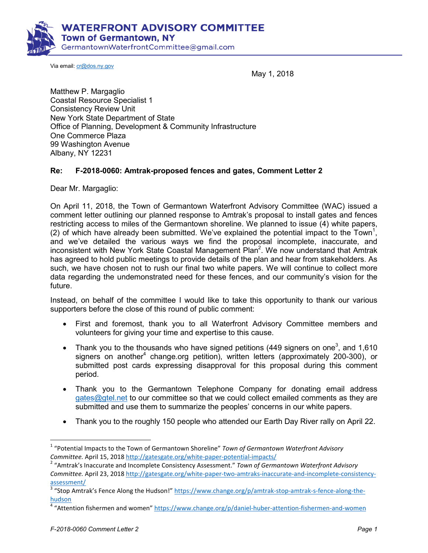

Via email: cr@dos.ny.gov

May 1, 2018

Matthew P. Margaglio Coastal Resource Specialist 1 Consistency Review Unit New York State Department of State Office of Planning, Development & Community Infrastructure One Commerce Plaza 99 Washington Avenue Albany, NY 12231

## **Re: F-2018-0060: Amtrak-proposed fences and gates, Comment Letter 2**

Dear Mr. Margaglio:

On April 11, 2018, the Town of Germantown Waterfront Advisory Committee (WAC) issued a comment letter outlining our planned response to Amtrak's proposal to install gates and fences restricting access to miles of the Germantown shoreline. We planned to issue (4) white papers, (2) of which have already been submitted. We've explained the potential impact to the Town<sup>1</sup>, and we've detailed the various ways we find the proposal incomplete, inaccurate, and inconsistent with New York State Coastal Management Plan<sup>2</sup>. We now understand that Amtrak has agreed to hold public meetings to provide details of the plan and hear from stakeholders. As such, we have chosen not to rush our final two white papers. We will continue to collect more data regarding the undemonstrated need for these fences, and our community's vision for the future.

Instead, on behalf of the committee I would like to take this opportunity to thank our various supporters before the close of this round of public comment:

- First and foremost, thank you to all Waterfront Advisory Committee members and volunteers for giving your time and expertise to this cause.
- Thank you to the thousands who have signed petitions (449 signers on one<sup>3</sup>, and 1,610 signers on another<sup>4</sup> change.org petition), written letters (approximately 200-300), or submitted post cards expressing disapproval for this proposal during this comment period.
- Thank you to the Germantown Telephone Company for donating email address gates@gtel.net to our committee so that we could collect emailed comments as they are submitted and use them to summarize the peoples' concerns in our white papers.
- Thank you to the roughly 150 people who attended our Earth Day River rally on April 22.

.

<sup>1</sup> "Potential Impacts to the Town of Germantown Shoreline" *Town of Germantown Waterfront Advisory Committee.* April 15, 2018 http://gatesgate.org/white-paper-potential-impacts/

<sup>2</sup> "Amtrak's Inaccurate and Incomplete Consistency Assessment." *Town of Germantown Waterfront Advisory Committee.* April 23, 2018 http://gatesgate.org/white-paper-two-amtraks-inaccurate-and-incomplete-consistencyassessment/

<sup>&</sup>lt;sup>3</sup> "Stop Amtrak's Fence Along the Hudson!" https://www.change.org/p/amtrak-stop-amtrak-s-fence-along-thehudson

<sup>&</sup>lt;sup>4</sup> "Attention fishermen and women" https://www.change.org/p/daniel-huber-attention-fishermen-and-women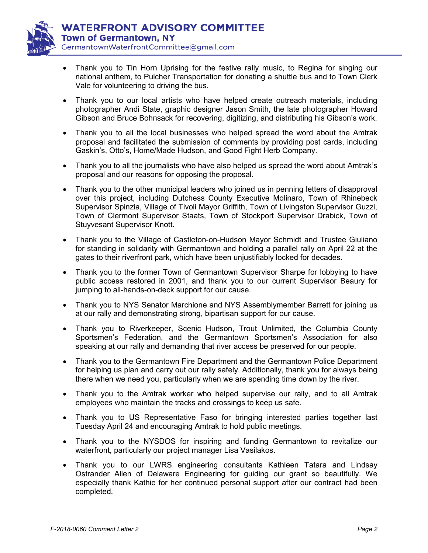

- Thank you to Tin Horn Uprising for the festive rally music, to Regina for singing our national anthem, to Pulcher Transportation for donating a shuttle bus and to Town Clerk Vale for volunteering to driving the bus.
- Thank you to our local artists who have helped create outreach materials, including photographer Andi State, graphic designer Jason Smith, the late photographer Howard Gibson and Bruce Bohnsack for recovering, digitizing, and distributing his Gibson's work.
- Thank you to all the local businesses who helped spread the word about the Amtrak proposal and facilitated the submission of comments by providing post cards, including Gaskin's, Otto's, Home/Made Hudson, and Good Fight Herb Company.
- Thank you to all the journalists who have also helped us spread the word about Amtrak's proposal and our reasons for opposing the proposal.
- Thank you to the other municipal leaders who joined us in penning letters of disapproval over this project, including Dutchess County Executive Molinaro, Town of Rhinebeck Supervisor Spinzia, Village of Tivoli Mayor Griffith, Town of Livingston Supervisor Guzzi, Town of Clermont Supervisor Staats, Town of Stockport Supervisor Drabick, Town of Stuyvesant Supervisor Knott.
- Thank you to the Village of Castleton-on-Hudson Mayor Schmidt and Trustee Giuliano for standing in solidarity with Germantown and holding a parallel rally on April 22 at the gates to their riverfront park, which have been unjustifiably locked for decades.
- Thank you to the former Town of Germantown Supervisor Sharpe for lobbying to have public access restored in 2001, and thank you to our current Supervisor Beaury for jumping to all-hands-on-deck support for our cause.
- Thank you to NYS Senator Marchione and NYS Assemblymember Barrett for joining us at our rally and demonstrating strong, bipartisan support for our cause.
- Thank you to Riverkeeper, Scenic Hudson, Trout Unlimited, the Columbia County Sportsmen's Federation, and the Germantown Sportsmen's Association for also speaking at our rally and demanding that river access be preserved for our people.
- Thank you to the Germantown Fire Department and the Germantown Police Department for helping us plan and carry out our rally safely. Additionally, thank you for always being there when we need you, particularly when we are spending time down by the river.
- Thank you to the Amtrak worker who helped supervise our rally, and to all Amtrak employees who maintain the tracks and crossings to keep us safe.
- Thank you to US Representative Faso for bringing interested parties together last Tuesday April 24 and encouraging Amtrak to hold public meetings.
- Thank you to the NYSDOS for inspiring and funding Germantown to revitalize our waterfront, particularly our project manager Lisa Vasilakos.
- Thank you to our LWRS engineering consultants Kathleen Tatara and Lindsay Ostrander Allen of Delaware Engineering for guiding our grant so beautifully. We especially thank Kathie for her continued personal support after our contract had been completed.